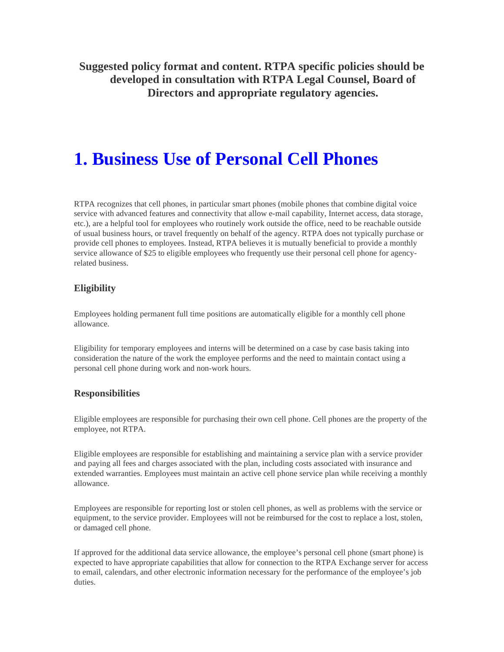**Suggested policy format and content. RTPA specific policies should be developed in consultation with RTPA Legal Counsel, Board of Directors and appropriate regulatory agencies.** 

# **1. Business Use of Personal Cell Phones**

RTPA recognizes that cell phones, in particular smart phones (mobile phones that combine digital voice service with advanced features and connectivity that allow e-mail capability, Internet access, data storage, etc.), are a helpful tool for employees who routinely work outside the office, need to be reachable outside of usual business hours, or travel frequently on behalf of the agency. RTPA does not typically purchase or provide cell phones to employees. Instead, RTPA believes it is mutually beneficial to provide a monthly service allowance of \$25 to eligible employees who frequently use their personal cell phone for agencyrelated business.

# **Eligibility**

Employees holding permanent full time positions are automatically eligible for a monthly cell phone allowance.

Eligibility for temporary employees and interns will be determined on a case by case basis taking into consideration the nature of the work the employee performs and the need to maintain contact using a personal cell phone during work and non-work hours.

# **Responsibilities**

Eligible employees are responsible for purchasing their own cell phone. Cell phones are the property of the employee, not RTPA.

Eligible employees are responsible for establishing and maintaining a service plan with a service provider and paying all fees and charges associated with the plan, including costs associated with insurance and extended warranties. Employees must maintain an active cell phone service plan while receiving a monthly allowance.

Employees are responsible for reporting lost or stolen cell phones, as well as problems with the service or equipment, to the service provider. Employees will not be reimbursed for the cost to replace a lost, stolen, or damaged cell phone.

If approved for the additional data service allowance, the employee's personal cell phone (smart phone) is expected to have appropriate capabilities that allow for connection to the RTPA Exchange server for access to email, calendars, and other electronic information necessary for the performance of the employee's job duties.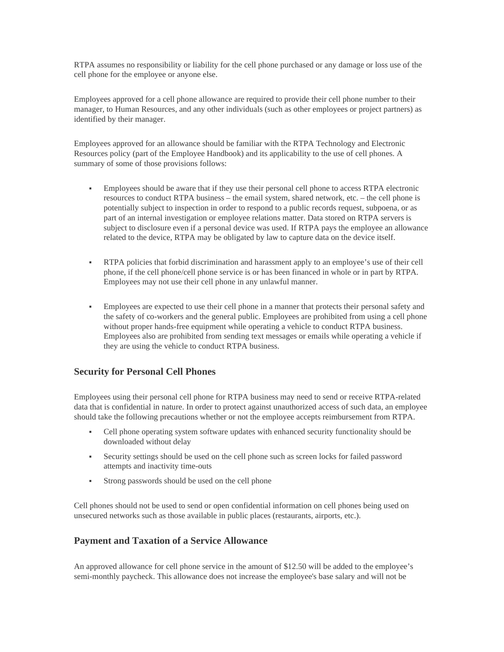RTPA assumes no responsibility or liability for the cell phone purchased or any damage or loss use of the cell phone for the employee or anyone else.

Employees approved for a cell phone allowance are required to provide their cell phone number to their manager, to Human Resources, and any other individuals (such as other employees or project partners) as identified by their manager.

Employees approved for an allowance should be familiar with the RTPA Technology and Electronic Resources policy (part of the Employee Handbook) and its applicability to the use of cell phones. A summary of some of those provisions follows:

- Employees should be aware that if they use their personal cell phone to access RTPA electronic resources to conduct RTPA business – the email system, shared network, etc. – the cell phone is potentially subject to inspection in order to respond to a public records request, subpoena, or as part of an internal investigation or employee relations matter. Data stored on RTPA servers is subject to disclosure even if a personal device was used. If RTPA pays the employee an allowance related to the device, RTPA may be obligated by law to capture data on the device itself.
- RTPA policies that forbid discrimination and harassment apply to an employee's use of their cell phone, if the cell phone/cell phone service is or has been financed in whole or in part by RTPA. Employees may not use their cell phone in any unlawful manner.
- Employees are expected to use their cell phone in a manner that protects their personal safety and the safety of co-workers and the general public. Employees are prohibited from using a cell phone without proper hands-free equipment while operating a vehicle to conduct RTPA business. Employees also are prohibited from sending text messages or emails while operating a vehicle if they are using the vehicle to conduct RTPA business.

### **Security for Personal Cell Phones**

Employees using their personal cell phone for RTPA business may need to send or receive RTPA-related data that is confidential in nature. In order to protect against unauthorized access of such data, an employee should take the following precautions whether or not the employee accepts reimbursement from RTPA.

- Cell phone operating system software updates with enhanced security functionality should be downloaded without delay
- Security settings should be used on the cell phone such as screen locks for failed password attempts and inactivity time-outs
- Strong passwords should be used on the cell phone

Cell phones should not be used to send or open confidential information on cell phones being used on unsecured networks such as those available in public places (restaurants, airports, etc.).

### **Payment and Taxation of a Service Allowance**

An approved allowance for cell phone service in the amount of \$12.50 will be added to the employee's semi-monthly paycheck. This allowance does not increase the employee's base salary and will not be